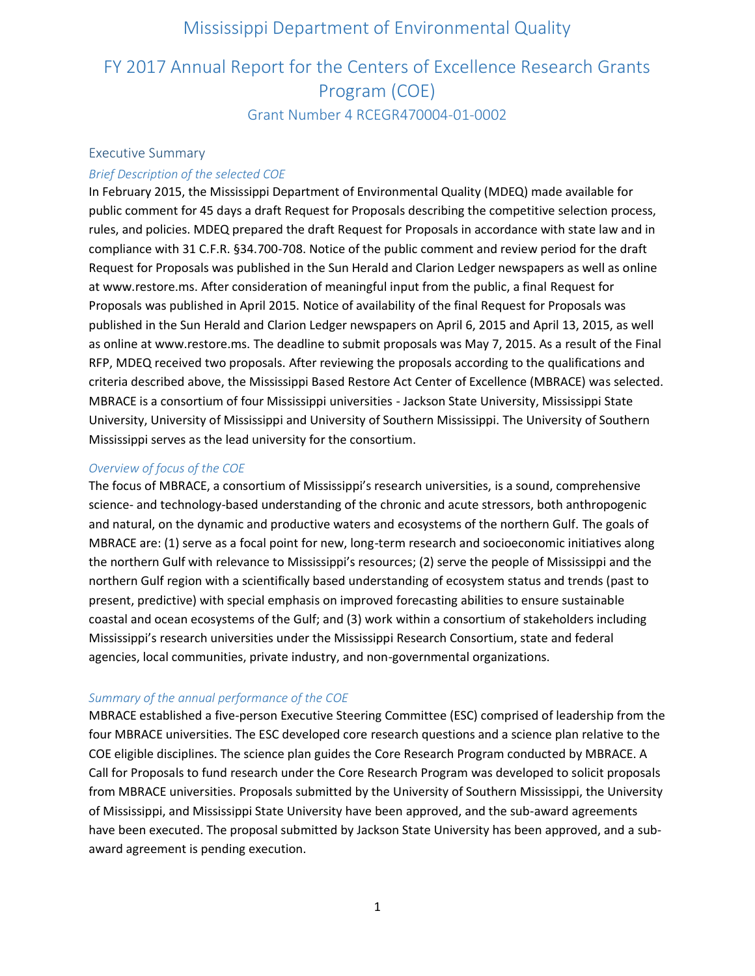# FY 2017 Annual Report for the Centers of Excellence Research Grants Program (COE)

Grant Number 4 RCEGR470004-01-0002

### Executive Summary

### *Brief Description of the selected COE*

In February 2015, the Mississippi Department of Environmental Quality (MDEQ) made available for public comment for 45 days a draft Request for Proposals describing the competitive selection process, rules, and policies. MDEQ prepared the draft Request for Proposals in accordance with state law and in compliance with 31 C.F.R. §34.700-708. Notice of the public comment and review period for the draft Request for Proposals was published in the Sun Herald and Clarion Ledger newspapers as well as online at www.restore.ms. After consideration of meaningful input from the public, a final Request for Proposals was published in April 2015. Notice of availability of the final Request for Proposals was published in the Sun Herald and Clarion Ledger newspapers on April 6, 2015 and April 13, 2015, as well as online at www.restore.ms. The deadline to submit proposals was May 7, 2015. As a result of the Final RFP, MDEQ received two proposals. After reviewing the proposals according to the qualifications and criteria described above, the Mississippi Based Restore Act Center of Excellence (MBRACE) was selected. MBRACE is a consortium of four Mississippi universities - Jackson State University, Mississippi State University, University of Mississippi and University of Southern Mississippi. The University of Southern Mississippi serves as the lead university for the consortium.

### *Overview of focus of the COE*

The focus of MBRACE, a consortium of Mississippi's research universities, is a sound, comprehensive science- and technology-based understanding of the chronic and acute stressors, both anthropogenic and natural, on the dynamic and productive waters and ecosystems of the northern Gulf. The goals of MBRACE are: (1) serve as a focal point for new, long-term research and socioeconomic initiatives along the northern Gulf with relevance to Mississippi's resources; (2) serve the people of Mississippi and the northern Gulf region with a scientifically based understanding of ecosystem status and trends (past to present, predictive) with special emphasis on improved forecasting abilities to ensure sustainable coastal and ocean ecosystems of the Gulf; and (3) work within a consortium of stakeholders including Mississippi's research universities under the Mississippi Research Consortium, state and federal agencies, local communities, private industry, and non-governmental organizations.

### *Summary of the annual performance of the COE*

MBRACE established a five-person Executive Steering Committee (ESC) comprised of leadership from the four MBRACE universities. The ESC developed core research questions and a science plan relative to the COE eligible disciplines. The science plan guides the Core Research Program conducted by MBRACE. A Call for Proposals to fund research under the Core Research Program was developed to solicit proposals from MBRACE universities. Proposals submitted by the University of Southern Mississippi, the University of Mississippi, and Mississippi State University have been approved, and the sub-award agreements have been executed. The proposal submitted by Jackson State University has been approved, and a subaward agreement is pending execution.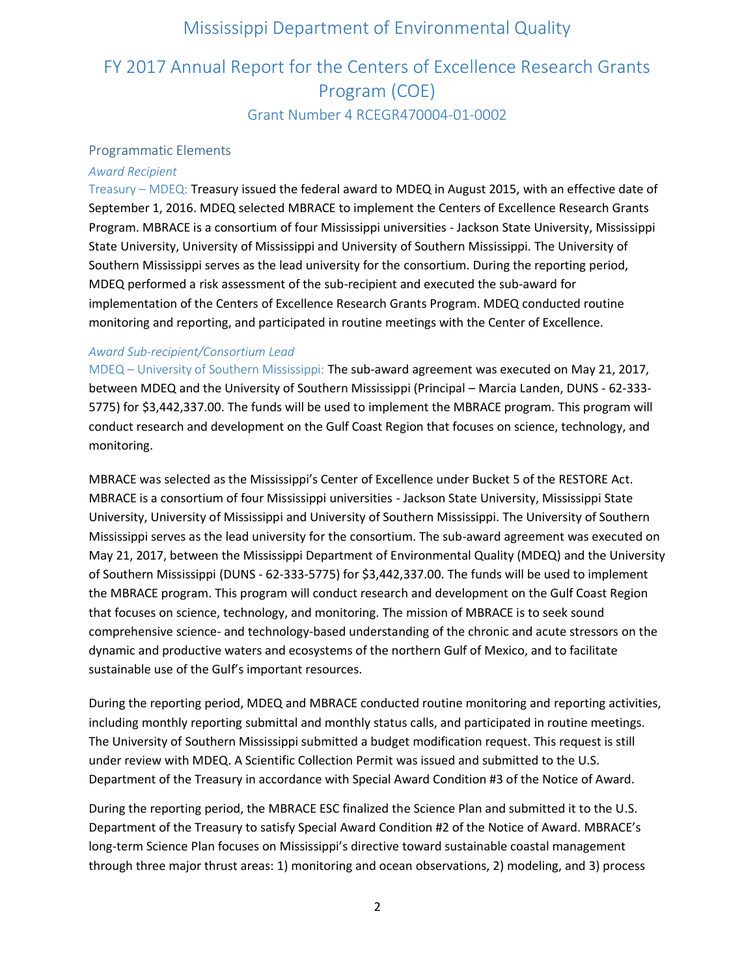# FY 2017 Annual Report for the Centers of Excellence Research Grants Program (COE) Grant Number 4 RCEGR470004-01-0002

#### Programmatic Elements

### *Award Recipient*

Treasury – MDEQ: Treasury issued the federal award to MDEQ in August 2015, with an effective date of September 1, 2016. MDEQ selected MBRACE to implement the Centers of Excellence Research Grants Program. MBRACE is a consortium of four Mississippi universities - Jackson State University, Mississippi State University, University of Mississippi and University of Southern Mississippi. The University of Southern Mississippi serves as the lead university for the consortium. During the reporting period, MDEQ performed a risk assessment of the sub-recipient and executed the sub-award for implementation of the Centers of Excellence Research Grants Program. MDEQ conducted routine monitoring and reporting, and participated in routine meetings with the Center of Excellence.

### *Award Sub-recipient/Consortium Lead*

MDEQ – University of Southern Mississippi: The sub-award agreement was executed on May 21, 2017, between MDEQ and the University of Southern Mississippi (Principal – Marcia Landen, DUNS - 62-333- 5775) for \$3,442,337.00. The funds will be used to implement the MBRACE program. This program will conduct research and development on the Gulf Coast Region that focuses on science, technology, and monitoring.

MBRACE was selected as the Mississippi's Center of Excellence under Bucket 5 of the RESTORE Act. MBRACE is a consortium of four Mississippi universities - Jackson State University, Mississippi State University, University of Mississippi and University of Southern Mississippi. The University of Southern Mississippi serves as the lead university for the consortium. The sub-award agreement was executed on May 21, 2017, between the Mississippi Department of Environmental Quality (MDEQ) and the University of Southern Mississippi (DUNS - 62-333-5775) for \$3,442,337.00. The funds will be used to implement the MBRACE program. This program will conduct research and development on the Gulf Coast Region that focuses on science, technology, and monitoring. The mission of MBRACE is to seek sound comprehensive science- and technology-based understanding of the chronic and acute stressors on the dynamic and productive waters and ecosystems of the northern Gulf of Mexico, and to facilitate sustainable use of the Gulf's important resources.

During the reporting period, MDEQ and MBRACE conducted routine monitoring and reporting activities, including monthly reporting submittal and monthly status calls, and participated in routine meetings. The University of Southern Mississippi submitted a budget modification request. This request is still under review with MDEQ. A Scientific Collection Permit was issued and submitted to the U.S. Department of the Treasury in accordance with Special Award Condition #3 of the Notice of Award.

During the reporting period, the MBRACE ESC finalized the Science Plan and submitted it to the U.S. Department of the Treasury to satisfy Special Award Condition #2 of the Notice of Award. MBRACE's long-term Science Plan focuses on Mississippi's directive toward sustainable coastal management through three major thrust areas: 1) monitoring and ocean observations, 2) modeling, and 3) process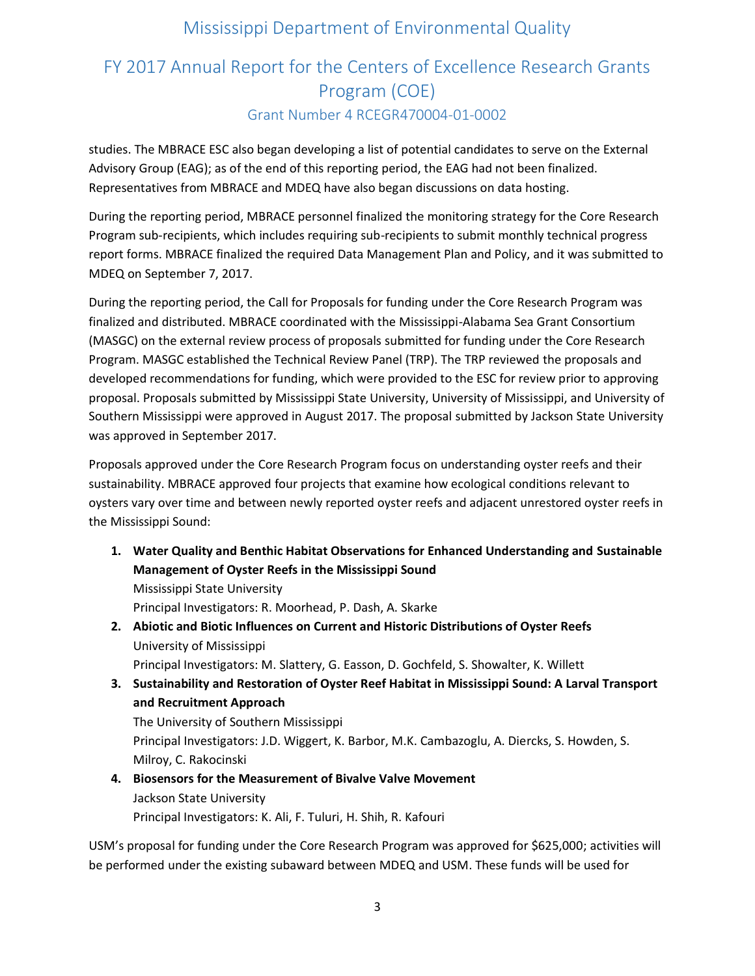# FY 2017 Annual Report for the Centers of Excellence Research Grants Program (COE) Grant Number 4 RCEGR470004-01-0002

studies. The MBRACE ESC also began developing a list of potential candidates to serve on the External Advisory Group (EAG); as of the end of this reporting period, the EAG had not been finalized. Representatives from MBRACE and MDEQ have also began discussions on data hosting.

During the reporting period, MBRACE personnel finalized the monitoring strategy for the Core Research Program sub-recipients, which includes requiring sub-recipients to submit monthly technical progress report forms. MBRACE finalized the required Data Management Plan and Policy, and it was submitted to MDEQ on September 7, 2017.

During the reporting period, the Call for Proposals for funding under the Core Research Program was finalized and distributed. MBRACE coordinated with the Mississippi-Alabama Sea Grant Consortium (MASGC) on the external review process of proposals submitted for funding under the Core Research Program. MASGC established the Technical Review Panel (TRP). The TRP reviewed the proposals and developed recommendations for funding, which were provided to the ESC for review prior to approving proposal. Proposals submitted by Mississippi State University, University of Mississippi, and University of Southern Mississippi were approved in August 2017. The proposal submitted by Jackson State University was approved in September 2017.

Proposals approved under the Core Research Program focus on understanding oyster reefs and their sustainability. MBRACE approved four projects that examine how ecological conditions relevant to oysters vary over time and between newly reported oyster reefs and adjacent unrestored oyster reefs in the Mississippi Sound:

**1. Water Quality and Benthic Habitat Observations for Enhanced Understanding and Sustainable Management of Oyster Reefs in the Mississippi Sound** Mississippi State University

Principal Investigators: R. Moorhead, P. Dash, A. Skarke

- **2. Abiotic and Biotic Influences on Current and Historic Distributions of Oyster Reefs** University of Mississippi Principal Investigators: M. Slattery, G. Easson, D. Gochfeld, S. Showalter, K. Willett
- **3. Sustainability and Restoration of Oyster Reef Habitat in Mississippi Sound: A Larval Transport and Recruitment Approach**

The University of Southern Mississippi Principal Investigators: J.D. Wiggert, K. Barbor, M.K. Cambazoglu, A. Diercks, S. Howden, S. Milroy, C. Rakocinski

### **4. Biosensors for the Measurement of Bivalve Valve Movement** Jackson State University Principal Investigators: K. Ali, F. Tuluri, H. Shih, R. Kafouri

USM's proposal for funding under the Core Research Program was approved for \$625,000; activities will be performed under the existing subaward between MDEQ and USM. These funds will be used for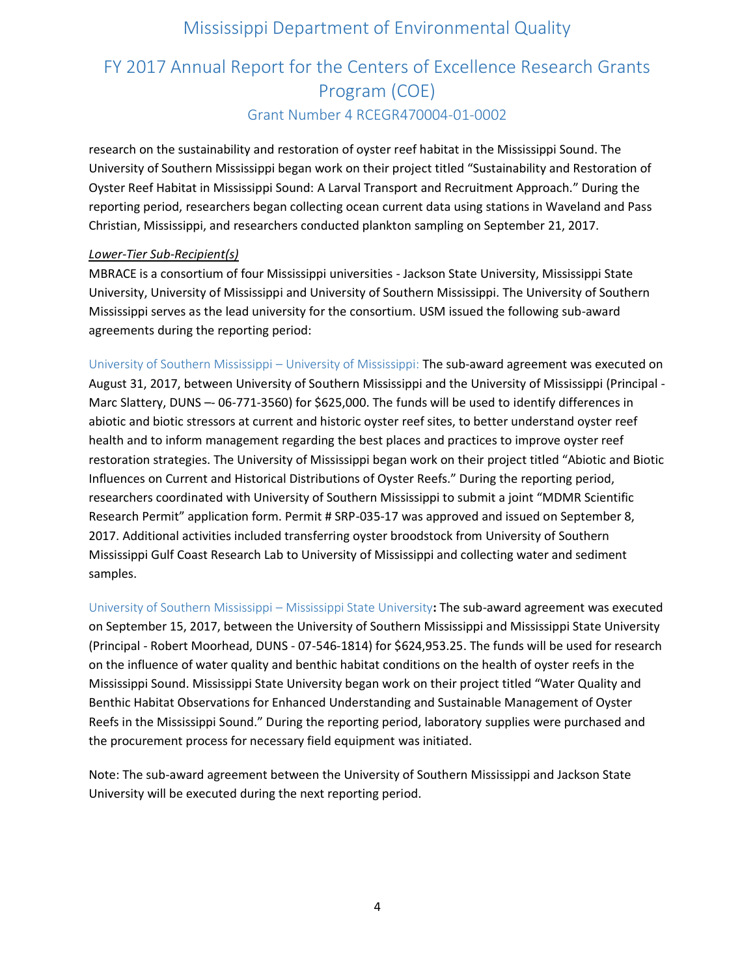# FY 2017 Annual Report for the Centers of Excellence Research Grants Program (COE) Grant Number 4 RCEGR470004-01-0002

research on the sustainability and restoration of oyster reef habitat in the Mississippi Sound. The University of Southern Mississippi began work on their project titled "Sustainability and Restoration of Oyster Reef Habitat in Mississippi Sound: A Larval Transport and Recruitment Approach." During the reporting period, researchers began collecting ocean current data using stations in Waveland and Pass Christian, Mississippi, and researchers conducted plankton sampling on September 21, 2017.

### *Lower-Tier Sub-Recipient(s)*

MBRACE is a consortium of four Mississippi universities - Jackson State University, Mississippi State University, University of Mississippi and University of Southern Mississippi. The University of Southern Mississippi serves as the lead university for the consortium. USM issued the following sub-award agreements during the reporting period:

University of Southern Mississippi – University of Mississippi: The sub-award agreement was executed on August 31, 2017, between University of Southern Mississippi and the University of Mississippi (Principal - Marc Slattery, DUNS –- 06-771-3560) for \$625,000. The funds will be used to identify differences in abiotic and biotic stressors at current and historic oyster reef sites, to better understand oyster reef health and to inform management regarding the best places and practices to improve oyster reef restoration strategies. The University of Mississippi began work on their project titled "Abiotic and Biotic Influences on Current and Historical Distributions of Oyster Reefs." During the reporting period, researchers coordinated with University of Southern Mississippi to submit a joint "MDMR Scientific Research Permit" application form. Permit # SRP-035-17 was approved and issued on September 8, 2017. Additional activities included transferring oyster broodstock from University of Southern Mississippi Gulf Coast Research Lab to University of Mississippi and collecting water and sediment samples.

University of Southern Mississippi – Mississippi State University**:** The sub-award agreement was executed on September 15, 2017, between the University of Southern Mississippi and Mississippi State University (Principal - Robert Moorhead, DUNS - 07-546-1814) for \$624,953.25. The funds will be used for research on the influence of water quality and benthic habitat conditions on the health of oyster reefs in the Mississippi Sound. Mississippi State University began work on their project titled "Water Quality and Benthic Habitat Observations for Enhanced Understanding and Sustainable Management of Oyster Reefs in the Mississippi Sound." During the reporting period, laboratory supplies were purchased and the procurement process for necessary field equipment was initiated.

Note: The sub-award agreement between the University of Southern Mississippi and Jackson State University will be executed during the next reporting period.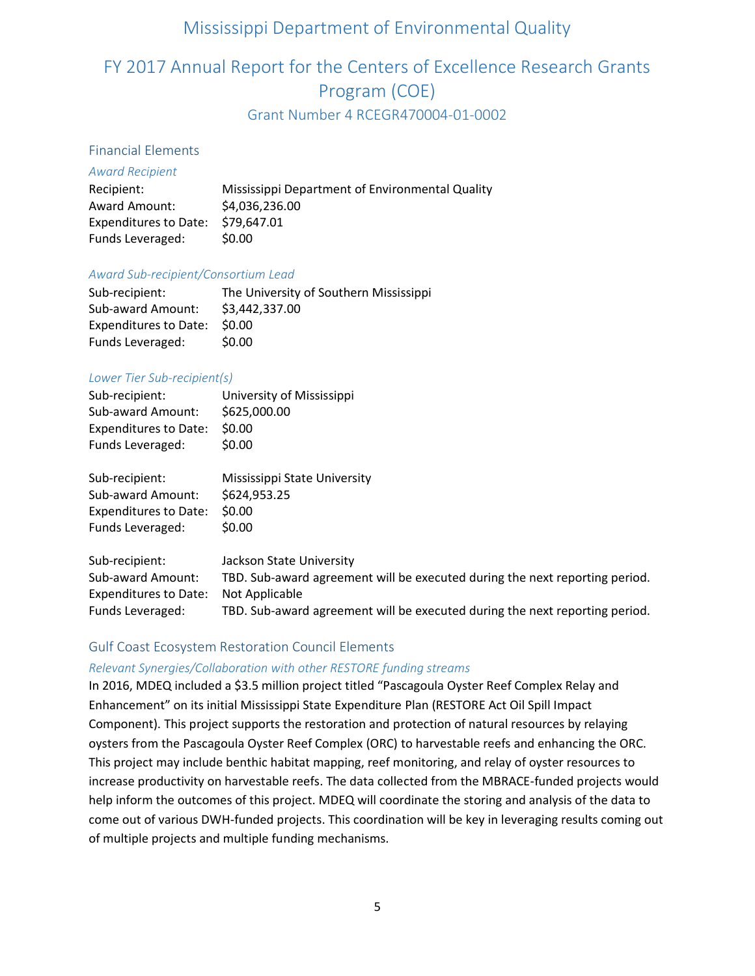# FY 2017 Annual Report for the Centers of Excellence Research Grants Program (COE)

Grant Number 4 RCEGR470004-01-0002

### Financial Elements

### *Award Recipient*

| Recipient:                        | Mississippi Department of Environmental Quality |
|-----------------------------------|-------------------------------------------------|
| Award Amount:                     | \$4,036,236.00                                  |
| Expenditures to Date: \$79,647.01 |                                                 |
| Funds Leveraged:                  | \$0.00                                          |

### *Award Sub-recipient/Consortium Lead*

| Sub-recipient:        | The University of Southern Mississippi |
|-----------------------|----------------------------------------|
| Sub-award Amount:     | \$3,442,337.00                         |
| Expenditures to Date: | <b>SO.OO</b>                           |
| Funds Leveraged:      | \$0.00                                 |

### *Lower Tier Sub-recipient(s)*

| Sub-recipient:               | University of Mississippi |
|------------------------------|---------------------------|
| Sub-award Amount:            | \$625,000.00              |
| <b>Expenditures to Date:</b> | \$0.00                    |
| Funds Leveraged:             | \$0.00                    |

| Sub-recipient:               | Mississippi State University |
|------------------------------|------------------------------|
| Sub-award Amount:            | \$624,953.25                 |
| <b>Expenditures to Date:</b> | \$0.00                       |
| Funds Leveraged:             | \$0.00                       |

Sub-recipient: Jackson State University Sub-award Amount: TBD. Sub-award agreement will be executed during the next reporting period. Expenditures to Date: Not Applicable Funds Leveraged: TBD. Sub-award agreement will be executed during the next reporting period.

### Gulf Coast Ecosystem Restoration Council Elements

### *Relevant Synergies/Collaboration with other RESTORE funding streams*

In 2016, MDEQ included a \$3.5 million project titled "Pascagoula Oyster Reef Complex Relay and Enhancement" on its initial Mississippi State Expenditure Plan (RESTORE Act Oil Spill Impact Component). This project supports the restoration and protection of natural resources by relaying oysters from the Pascagoula Oyster Reef Complex (ORC) to harvestable reefs and enhancing the ORC. This project may include benthic habitat mapping, reef monitoring, and relay of oyster resources to increase productivity on harvestable reefs. The data collected from the MBRACE-funded projects would help inform the outcomes of this project. MDEQ will coordinate the storing and analysis of the data to come out of various DWH-funded projects. This coordination will be key in leveraging results coming out of multiple projects and multiple funding mechanisms.